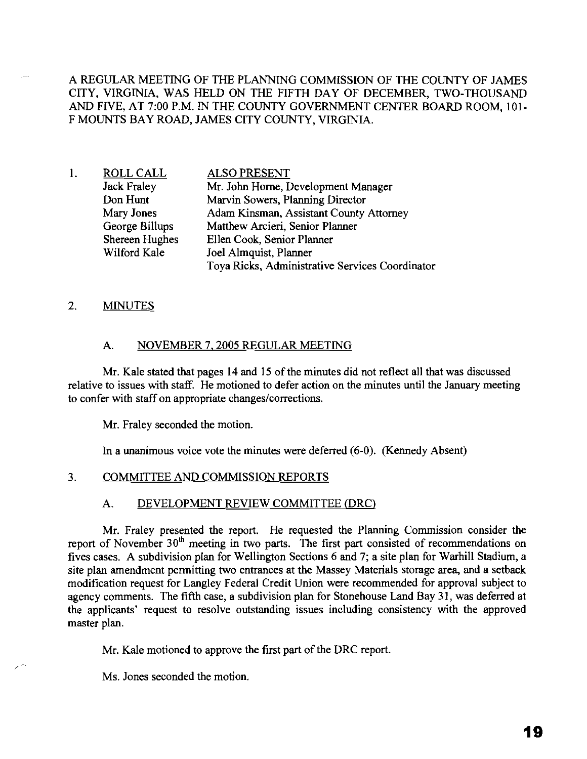A REGULAR MEETING OF THE PLANNING COMMISSION OF THE COUNTY OF JAMES CITY, VIRGINIA, WAS HELD ON THE FIFTH DAY OF DECEMBER, TWO-THOUSAND AND FIVE, AT 7:00 P.M. IN THE COUNTY GOVERNMENT CENTER BOARD ROOM, 101- F MOUNTS BAY ROAD, JAMES CITY COUNTY, VIRGINIA.

1. ROLL CALL Jack Fraley Don Hunt Mary Jones George Billups Shereen Hughes Wilford Kale ALSO PRESENT Mr. John Horne, Development Manager Marvin Sowers, Planning Director Adam Kinsman, Assistant County Attorney Matthew Arcieri, Senior Planner Ellen Cook, Senior Planner Joel Almquist, Planner Toya Ricks, Administrative Services Coordinator

### 2. MINUTES

### A. NOVEMBER 7, 2005 REGULAR MEETING

Mr. Kale stated that pages 14 and 15 of the minutes did not reflect all that was discussed relative to issues with staff. He motioned to defer action on the minutes until the January meeting to confer with staff on appropriate changes/corrections.

Mr. Fraley seconded the motion.

In a unanimous voice vote the minutes were deferred (6-0). (Kennedy Absent)

#### 3. COMMITTEE AND COMMISSION REPORTS

#### A. DEVELOPMENT REVIEW COMMITTEE (DRC)

Mr. Fraley presented the report. He requested the Planning Commission consider the report of November 30<sup>th</sup> meeting in two parts. The first part consisted of recommendations on fives cases. A subdivision plan for Wellington Sections 6 and 7; a site plan for Warhill Stadium, a site plan amendment permitting two entrances at the Massey Materials storage area, and a setback modification request for Langley Federal Credit Union were recommended for approval subject to agency comments. The fifth case, a subdivision plan for Stonehouse Land Bay 31, was deferred at the applicants' request to resolve outstanding issues including consistency with the approved master plan.

Mr. Kale motioned to approve the first part of the DRC report.

Ms. Jones seconded the motion.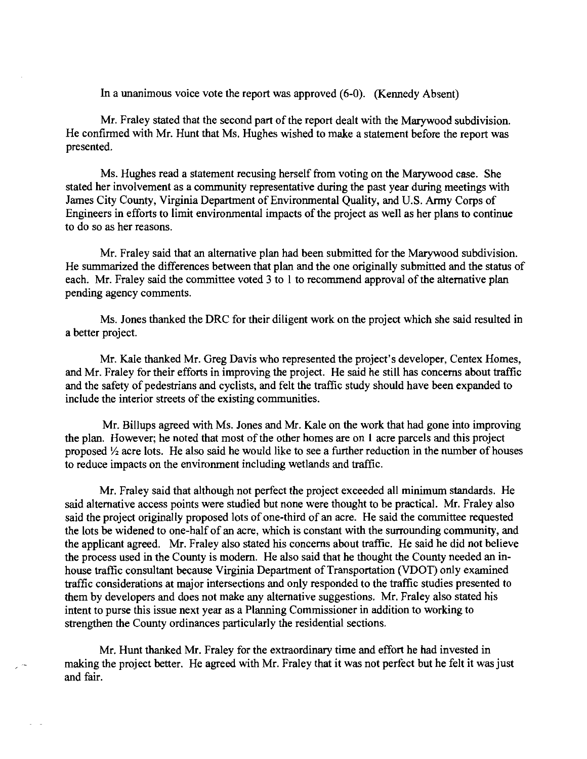In a unanimous voice vote the report was approved (6-0). (Kennedy Absent)

Mr. Fraley stated that the second part of the report dealt with the Marywood subdivision. He confirmed with Mr. Hunt that Ms. Hughes wished to make a statement before the report was presented.

Ms. Hughes read a statement recusing herself from voting on the Marywood case. She stated her involvement as a community representative during the past year during meetings with James City County, Virginia Department of Environmental Quality, and U.S. Army Corps of Engineers in efforts to limit environmental impacts of the project as well as her plans to continue to do so as her reasons.

Mr. Fraley said that an alternative plan had been submitted for the Marywood subdivision. He summarized the differences between that plan and the one originally submitted and the status of each. Mr. Fraley said the committee voted  $3$  to 1 to recommend approval of the alternative plan pending agency comments.

Ms. Jones thanked the DRC for their diligent work on the project which she said resulted in a better project.

Mr. Kale thanked Mr. Greg Davis who represented the project's developer, Centex Homes, and Mr. Fraley for their efforts in improving the project. He said he still has concerns about traffic and the safety of pedestrians and cyclists, and felt the traffic study should have been expanded to include the interior streets of the existing communities.

Mr. Billups agreed with Ms. Jones and Mr. Kale on the work that had gone into improving the plan. However; he noted that most of the other homes are on 1 acre parcels and this project proposed Y, acre lots. He also said he would like to see a further reduction in the number of houses to reduce impacts on the environment including wetlands and traffic.

Mr. Fraley said that although not perfect the project exceeded all minimum standards. He said alternative access points were studied but none were thought to be practical. Mr. Fraley also said the project originally proposed lots of one-third of an acre. He said the committee requested the lots be widened to one-half of an acre, which is constant with the surrounding community, and the applicant agreed. Mr. Fraley also stated his concerns about traffic. He said he did not believe the process used in the County is modem. He also said that he thought the County needed an inhouse traffic consultant because Virginia Department of Transportation (VDOT) only examined traffic considerations at major intersections and only responded to the traffic studies presented to them by developers and does not make any alternative suggestions. Mr. Fraley also stated his intent to purse this issue next year as a Planning Commissioner in addition to working to strengthen the County ordinances particularly the residential sections.

Mr. Hunt thanked Mr. Fraley for the extraordinary time and effort he had invested in making the project better. He agreed with Mr. Fraley that it was not perfect but he felt it was just and fair.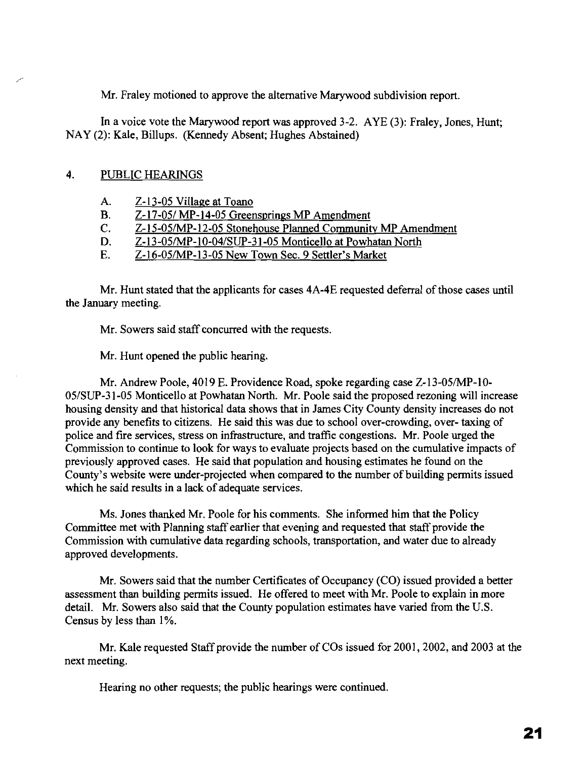Mr. Fraley motioned to approve the alternative Marywood subdivision report.

**In** a voice vote the Marywood report was approved 3-2. AYE (3): Fraley, Jones, Hunt; NAY (2): Kale, Billups. (Kennedy Absent; Hughes Abstained)

# 4. PUBLIC HEARINGS

- A. Z-13-05 Village at Toano
- B.  $Z-17-05/MP-14-05$  Greensprings MP Amendment<br>C.  $Z-15-05/MP-12-05$  Stonehouse Planned Communit
- Z-15-05/MP-12-05 Stonehouse Planned Community MP Amendment
- D. Z-13-05/MP-I0-04/SUP-31-05 Monticello at Powhatan North
- E. Z-16-05/MP-13-05 New Town Sec. 9 Settler's Market

Mr. Hunt stated that the applicants for cases  $4A-4E$  requested deferral of those cases until the January meeting.

Mr. Sowers said staff concurred with the requests.

Mr. Hunt opened the public hearing.

Mr. Andrew Poole, 4019 E. Providence Road, spoke regarding case Z-13-05/MP-1O-05/SUP-31-05 Monticello at Powhatan North. Mr. Poole said the proposed rezoning will increase housing density and that historical data shows that in James City County density increases do not provide any benefits to citizens. He said this was due to school over-crowding, over- taxing of police and fire services, stress on infrastructure, and traffic congestions. Mr. Poole urged the Commission to continue to look for ways to evaluate projects based on the cumulative impacts of previously approved cases. He said that population and housing estimates he found on the County's website were under-projected when compared to the number of building permits issued which he said results in a lack of adequate services.

Ms. Jones thanked Mr. Poole for his comments. She informed him that the Policy Committee met with Planning staff earlier that evening and requested that staff provide the Commission with cumulative data regarding schools, transportation, and water due to already approved developments.

Mr. Sowers said that the number Certificates of Occupancy (CO) issued provided a better assessment than building permits issued. He offered to meet with Mr. Poole to explain in more detail. Mr. Sowers also said that the County population estimates have varied from the U.S. Census by less than 1%.

Mr. Kale requested Staff provide the number of COs issued for 2001, 2002, and 2003 at the next meeting.

Hearing no other requests; the public hearings were continued.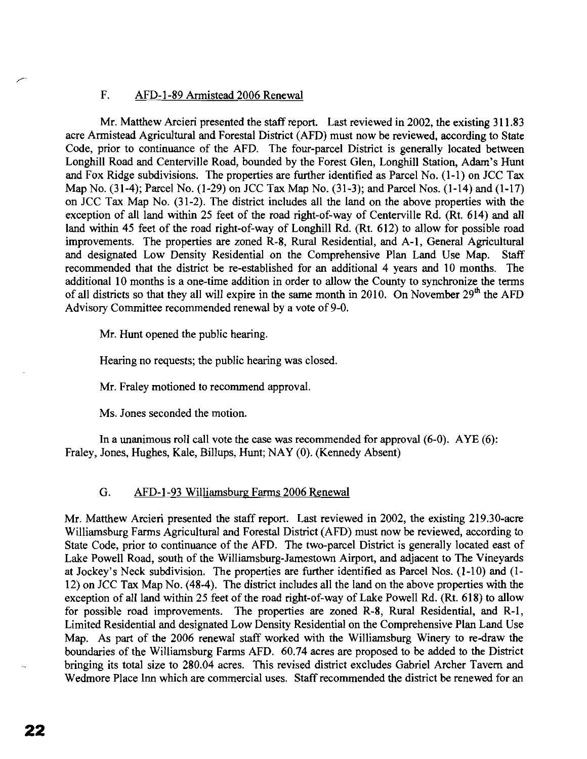### F. AFD-1-89 Armistead 2006 Renewal

Mr. Matthew Arcieri presented the staff report. Last reviewed in 2002, the existing 311.83 acre Armistead Agricultural and Forestal District (AFD) must now be reviewed, according to State Code, prior to continuance of the AFD. The four-parcel District is generally located between Longhill Road and Centerville Road, bounded by the Forest Glen, Longhill Station, Adam's Hunt and Fox Ridge subdivisions. The properties are further identified as Parcel No. (I-I) on JCC Tax Map No. (31-4); Parcel No. (1-29) on JCC Tax Map No. (31-3); and Parcel Nos. (1-14) and (1-17) on JCC Tax Map No. (31-2). The district includes all the land on the above properties with the exception of all land within 25 feet of the road right-of-way of Centerville Rd. (Rt. 614) and all land within 45 feet of the road right-of-way of Longhill Rd. (Rt. 612) to allow for possible road improvements. The properties are zoned R-8, Rural Residential, and A-I, General Agricultural and designated Low Density Residential on the Comprehensive Plan Land Use Map. Staff recommended that the district be re-established for an additional 4 years and 10 months. The additional 10 months is a one-time addition in order to allow the County to synchronize the terms of all districts so that they all will expire in the same month in 20IO. On November *29th* the AFD Advisory Committee recommended renewal by a vote of 9-0.

Mr. Hunt opened the public hearing.

Hearing no requests; the public hearing was closed.

Mr. Fraley motioned to recommend approval.

Ms. Jones seconded the motion.

In a unanimous roll call vote the case was recommended for approval (6-0). AYE (6): Fraley, Jones, Hughes, Kale, Billups, Hunt; NAY (0). (Kennedy Absent)

## G. AFD-I-93 Williamsburg Farms 2006 Renewal

Mr. Matthew Arcieri presented the staff report. Last reviewed in 2002, the existing 219.30-acre Williamsburg Farms Agricultural and Forestal District (AFD) must now be reviewed, according to State Code, prior to continuance of the AFD. The two-parcel District is generally located east of Lake Powell Road, south of the Williamsburg-Jamestown Airport, and adjacent to The Vineyards at Jockey's Neck subdivision. The properties are further identified as Parcel Nos. (1-10) and (1- 12) on JCC Tax Map No. (48-4). The district includes all the land on the above properties with the exception of all land within 25 feet of the road right-of-way of Lake Powell Rd. (Rt. 618) to allow for possible road improvements. The properties are zoned R-8, Rural Residential, and R-I, Limited Residential and designated Low Density Residential on the Comprehensive Plan Land Use Map. As part of the 2006 renewal staff worked with the Williamsburg Winery to re-draw the boundaries of the Williamsburg Farms AFD. 60.74 acres are proposed to be added to the District bringing its total size to 280.04 acres. This revised district excludes Gabriel Archer Tavern and Wedmore Place Inn which are commercial uses. Staffrecommended the district be renewed for an

**22**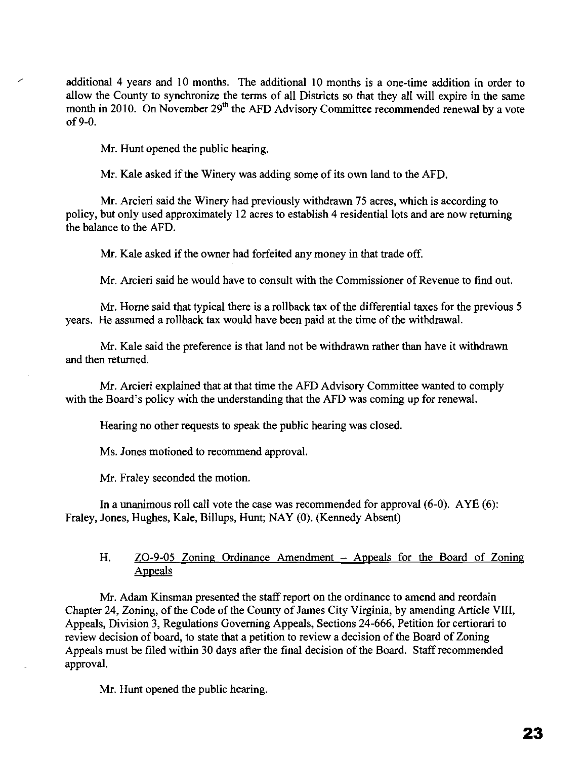additional 4 years and 10 months. The additional 10 months is a one-time addition in order to allow the County to synchronize the terms of all Districts so that they all will expire in the same month in 2010. On November 29<sup>th</sup> the AFD Advisory Committee recommended renewal by a vote of 9-0.

Mr. Hunt opened the public hearing.

Mr. Kale asked if the Winery was adding some of its own land to the AFD.

Mr. Arcieri said the Winery had previously withdrawn 75 acres, which is according to policy, but only used approximately 12 acres to establish 4 residential lots and are now returning the balance to the AFD.

Mr. Kale asked if the owner had forfeited any money in that trade off.

Mr. Arcieri said he would have to consult with the Commissioner of Revenue to find out.

Mr. Horne said that typical there is a rollback tax of the differential taxes for the previous 5 years. He assumed a rollback tax would have been paid at the time of the withdrawal.

Mr. Kale said the preference is that land not be withdrawn rather than have it withdrawn and then returned.

Mr. Arcieri explained that at that time the AFD Advisory Committee wanted to comply with the Board's policy with the understanding that the AFD was coming up for renewal.

Hearing no other requests to speak the public hearing was closed.

Ms. lones motioned to recommend approval.

Mr. Fraley seconded the motion.

In a unanimous roll call vote the case was recommended for approval  $(6-0)$ . AYE  $(6)$ : Fraley, Jones, Hughes, Kale, Billups, Hunt; NAY (0). (Kennedy Absent)

## H. ZO-9-05 Zoning Ordinance Amendment - Appeals for the Board of Zoning Appeals

Mr. Adam Kinsman presented the staff report on the ordinance to amend and reordain Chapter 24, Zoning, of the Code of the County of James City Virginia, by amending Article VIII, Appeals, Division 3, Regulations Governing Appeals, Sections 24-666, Petition for certiorari to review decision of board, to state that a petition to review a decision of the Board of Zoning Appeals must be filed within 30 days after the final decision of the Board. Staff recommended approval.

Mr. Hunt opened the public hearing.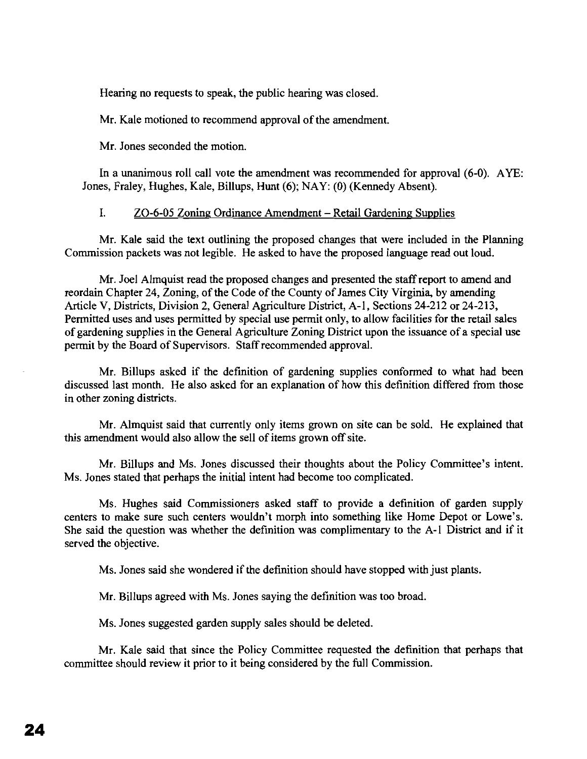Hearing no requests to speak, the public hearing was closed.

Mr. Kale motioned to recommend approval of the amendment.

Mr. Jones seconded the motion.

In a unanimous roll call vote the amendment was recommended for approval (6-0). AYE: Jones, Fraley, Hughes, Kale, Billups, Hunt (6); NAY: (0) (Kennedy Absent).

### 1. ZO-6-05 Zoning Ordinance Amendment - Retail Gardening Supplies

Mr. Kale said the text outlining the proposed changes that were included in the Planning Commission packets was not legible. He asked to have the proposed language read out loud.

Mr. Joel Almquist read the proposed changes and presented the staff report to amend and reordain Chapter 24, Zoning, of the Code of the County of James City Virginia, by amending Article V, Districts, Division 2, General Agriculture District, A-I, Sections 24-212 or 24-213, Permitted uses and uses permitted by special use permit only, to allow facilities for the retail sales of gardening supplies in the General Agriculture Zoning District upon the issuance of a special use permit by the Board of Supervisors. Staff recommended approval.

Mr. Billups asked if the definition of gardening supplies conformed to what had been discussed last month. He also asked for an explanation of how this definition differed from those in other zoning districts.

Mr. Almquist said that currently only items grown on site can be sold. He explained that this amendment would also allow the sell of items grown off site.

Mr. Billups and Ms. Jones discussed their thoughts about the Policy Committee's intent. Ms. Jones stated that perhaps the initial intent had become too complicated.

Ms. Hughes said Commissioners asked staff to provide a definition of garden supply centers to make sure such centers wouldn't morph into something like Home Depot or Lowe's. She said the question was whether the definition was complimentary to the A-I District and if it served the objective.

Ms. Jones said she wondered if the definition should have stopped with just plants.

Mr. Billups agreed with Ms. Jones saying the definition was too broad.

Ms. Jones suggested garden supply sales should be deleted.

Mr. Kale said that since the Policy Committee requested the definition that perhaps that committee should review it prior to it being considered by the full Commission.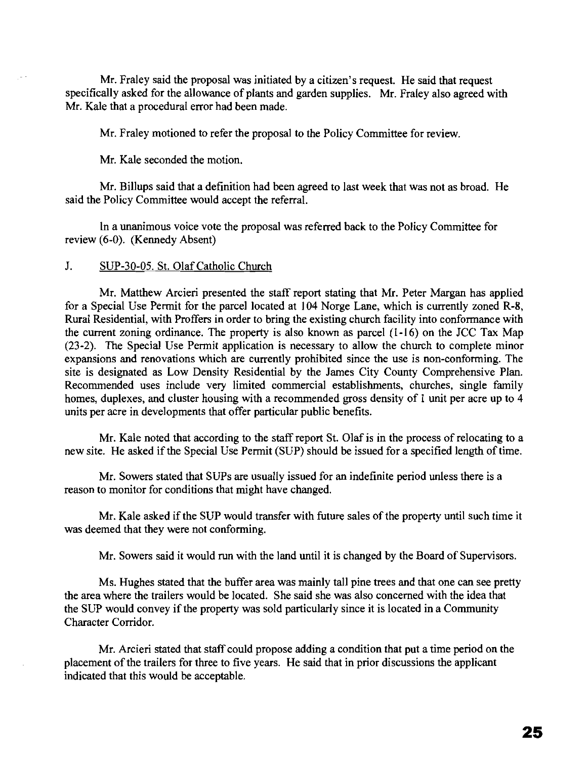Mr. Fraley said the proposal was initiated by a citizen's request. He said that request specifically asked for the allowance of plants and garden supplies. Mr. Fraley also agreed with Mr. Kale that a procedural error had been made.

Mr. Fraley motioned to refer the proposal to the Policy Committee for review.

Mr. Kale seconded the motion.

Mr.Billups said that a definition had been agreed to last week that was not as broad. He said the Policy Committee would accept the referral.

In a unanimous voice vote the proposal was referred back to the Policy Committee for review (6-0). (Kennedy Absent)

### J. SUP-30-05. St. Olaf Catholic Church

Mr. Matthew Arcieri presented the staff report stating that Mr. Peter Margan has applied for a Special Use Permit for the parcel located at 104 Norge Lane, which is currently zoned R-8, Rural Residential, with Proffers in order to bring the existing church facility into conformance with the current zoning ordinance. The property is also known as parcel (1-16) on the JCC Tax Map (23-2). The Special Use Permit application is necessary to allow the church to complete minor expansions and renovations which are currently prohibited since the use is non-conforming. The site is designated as Low Density Residential by the James City County Comprehensive Plan. Recommended uses include very limited commercial establishments, churches, single family homes, duplexes, and cluster housing with a recommended gross density of 1 unit per acre up to 4 units per acre in developments that offer particular public benefits.

Mr. Kale noted that according to the staff report St. Olaf is in the process of relocating to a new site. He asked if the Special Use Permit (SUP) should be issued for a specified length of time.

Mr. Sowers stated that SUPs are usually issued for an indefinite period unless there is a reason to monitor for conditions that might have changed.

Mr. Kale asked if the SUP would transfer with future sales of the property until such time it was deemed that they were not conforming.

Mr. Sowers said it would run with the land until it is changed by the Board of Supervisors.

Ms. Hughes stated that the buffer area was mainly tall pine trees and that one can see pretty the area where the trailers would be located. She said she was also concerned with the idea that the SUP would convey if the property was sold particularly since it is located in a Community Character Corridor.

Mr. Arcieri stated that staff could propose adding a condition that put a time period on the placement of the trailers for three to five years. He said that in prior discussions the applicant indicated that this would be acceptable.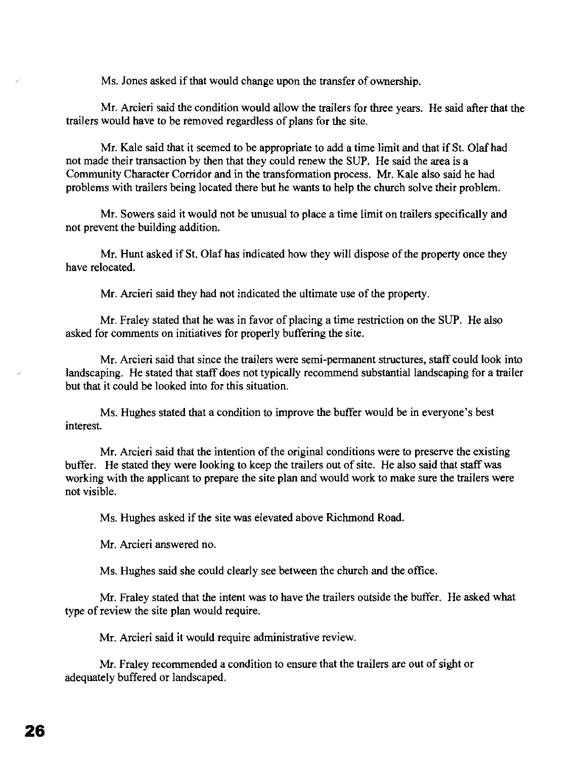Ms. Jones asked if that would change upon the transfer of ownership.

Mr. Arcieri said the condition would allow the trailers for three years. He said after that the trailers would have to be removed regardless of plans for the site.

Mr. Kale said that it seemed to be appropriate to add a time limit and that if St. Olaf had not made their transaction by then that they could renew the SUP. He said the area is a Community Character Corridor and in the transformation process. Mr. Kale also said he had problems with trailers being located there but he wants to help the church solve their problem.

Mr. Sowers said it would not be unusual to place a time limit on trailers specifically and not prevent the building addition.

Mr. Hunt asked if St. Olaf has indicated how they will dispose of the property once they have relocated.

Mr. Arcieri said they had not indicated the ultimate use of the property.

Mr. Fraley stated that he was in favor of placing a time restriction on the SUP. He also asked for comments on initiatives for properly buffering the site.

Mr. Arcieri said that since the trailers were semi-permanent structures, staff could look into landscaping. He stated that staff does not typically recommend substantial landscaping for a trailer but that it could be looked into for this situation.

Ms. Hughes stated that a condition to improve the buffer would be in everyone's best interest.

Mr. Arcieri said that the intention of the original conditions were to preserve the existing buffer. He stated they were looking to keep the trailers out of site. He also said that staff was working with the applicant to prepare the site plan and would work to make sure the trailers were not visible.

Ms. Hughes asked if the site was elevated above Richmond Road.

Mr. Arcieri answered no.

Ms. Hughes said she could clearly see between the church and the office.

Mr. Fraley stated that the intent was to have the trailers outside the buffer. He asked what type of review the site plan would require.

Mr. Arcieri said it would require administrative review.

Mr. Fraley recommended a condition to ensure that the trailers are out of sight or adequately buffered or landscaped.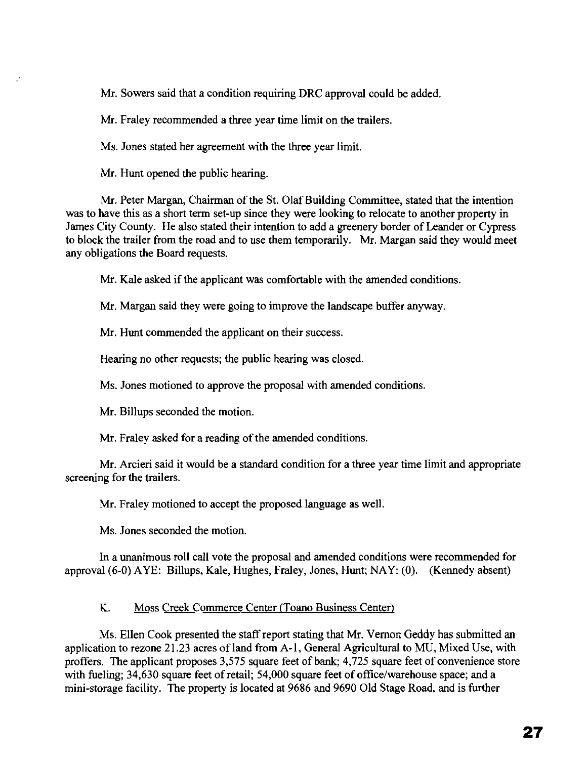Mr. Sowers said that a condition requiring DRC approval could be added.

Mr. Fraley recommended a three year time limit on the trailers.

Ms. Jones stated her agreement with the three year limit.

Mr. Hunt opened the public hearing.

Mr. Peter Margan, Chairman of the St. Olaf Building Committee, stated that the intention was to have this as a short term set-up since they were looking to relocate to another property in James City County. He also stated their intention to add a greenery border of Leander or Cypress to block the trailer from the road and to use them temporarily. Mr. Margan said they would meet any obligations the Board requests.

Mr. Kale asked if the applicant was comfortable with the amended conditions.

Mr. Margan said they were going to improve the landscape buffer anyway.

Mr. Hunt commended the applicant on their success.

Hearing no other requests; the public hearing was closed.

Ms. Jones motioned to approve the proposal with amended conditions.

Mr. Billups seconded the motion.

Mr. Fraley asked for a reading of the amended conditions.

Mr. Arcieri said it would be a standard condition for a three year time limit and appropriate screening for the trailers.

Mr. Fraley motioned to accept the proposed language as well.

Ms. Jones seconded the motion.

In a unanimous roll call vote the proposal and amended conditions were recommended for approval (6-0) AYE: Billups, Kale, Hughes, Fraley, Jones, Hunt; NAY: (0). (Kennedy absent)

## K. Moss Creek Commerce Center (Toano Business Center)

Ms. Ellen Cook presented the staff report stating that Mr. Vernon Geddy has submitted an application to rezone 21.23 acres of land from A-1, General Agricultural to MU, Mixed Use, with proffers. The applicant proposes 3,575 square feet of bank; 4,725 square feet of convenience store with fueling;  $34,630$  square feet of retail;  $54,000$  square feet of office/warehouse space; and a mini-storage facility. The property is located at 9686 and 9690 Old Stage Road, and is further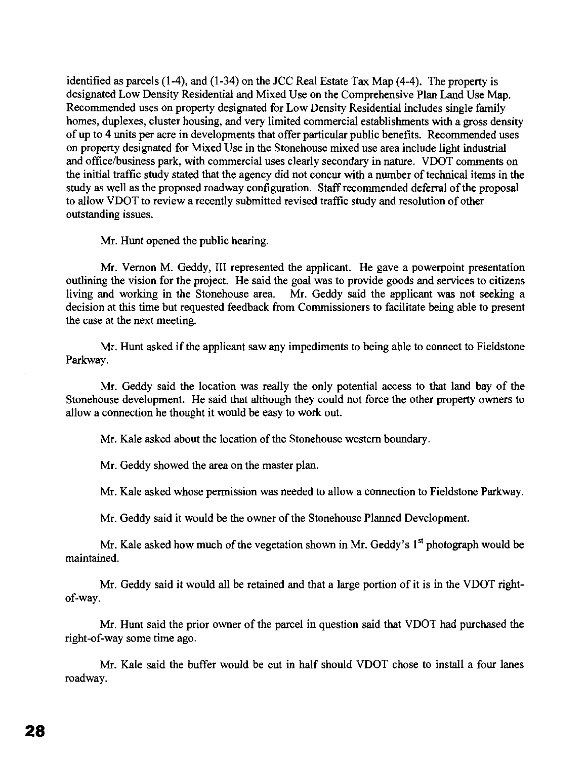identified as parcels (1-4), and (1-34) on the lCC Real Estate Tax Map (4-4). The property is designated Low Density Residential and Mixed Use on the Comprehensive Plan Land Use Map. Recommended uses on property designated for Low Density Residential includes single family homes, duplexes, cluster housing, and very limited commercial establishments with a gross density of up to 4 units per acre in developments that offer particular public benefits. Recommended uses on property designated for Mixed Use in the Stonehouse mixed use area include light industrial and officelbusiness park, with commercial uses clearly secondary in nature. VDOT comments on the initial traffic study stated that the agency did not concur with a number of technical items in the study as well as the proposed roadway configuration. Staff recommended deferral of the proposal to allow VDOT to review a recently submitted revised traffic study and resolution of other outstanding issues.

Mr. Hunt opened the public hearing.

Mr. Vernon M. Geddy, III represented the applicant. He gave a powerpoint presentation outlining the vision for the project. He said the goal was to provide goods and services to citizens living and working in the Stonehouse area. Mr. Geddy said the applicant was not seeking a decision at this time but requested feedback from Commissioners to facilitate being able to present the case at the next meeting.

Mr. Hunt asked if the applicant saw any impediments to being able to connect to Fieldstone Parkway.

Mr. Geddy said the location was really the only potential access to that land bay of the Stonehouse development. He said that although they could not force the other property owners to allow a connection he thought it would be easy to work out.

Mr. Kale asked about the location of the Stonehouse western boundary.

Mr. Geddy showed the area on the master plan.

Mr. Kale asked whose permission was needed to allow a connection to Fieldstone Parkway.

Mr. Geddy said it would be the owner of the Stonehouse Planned Development.

Mr. Kale asked how much of the vegetation shown in Mr. Geddy's 1<sup>st</sup> photograph would be maintained.

Mr. Geddy said it would all be retained and that a large portion of it is in the VDOT rightof-way.

Mr. Hunt said the prior owner of the parcel in question said that VDOT had purchased the right-of-way some time ago.

Mr. Kale said the buffer would be cut in half should VDOT chose to install a four lanes roadway.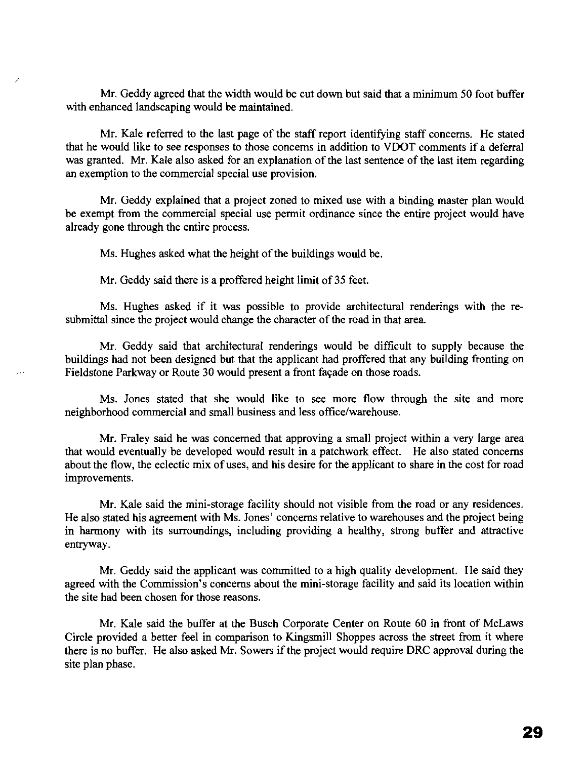Mr. Geddy agreed that the width would be cut down but said that a minimum 50 foot buffer with enhanced landscaping would be maintained.

Mr. Kale referred to the last page of the staff report identifying staff concerns. He stated that he would like to see responses to those concerns in addition to VDOT comments if a deferral was granted. Mr. Kale also asked for an explanation of the last sentence of the last item regarding an exemption to the commercial special use provision.

Mr. Geddy explained that a project zoned to mixed use with a binding master plan would be exempt from the commercial special use permit ordinance since the entire project would have already gone through the entire process.

Ms. Hughes asked what the height of the buildings would be.

Mr. Geddy said there is a proffered height limit of 35 feet.

Ms. Hughes asked if it was possible to provide architectural renderings with the resubmittal since the project would change the character of the road in that area.

Mr. Geddy said that architectural renderings would be difficult to supply because the buildings had not been designed but that the applicant had proffered that any building fronting on Fieldstone Parkway or Route 30 would present a front facade on those roads.

Ms. Jones stated that she would like to see more flow through the site and more neighborhood commercial and small business and less office/warehouse.

Mr. Fraley said he was concerned that approving a small project within a very large area that would eventually be developed would result in a patchwork effect. He also stated concerns about the flow, the eclectic mix of uses, and his desire for the applicant to share in the cost for road improvements.

Mr. Kale said the mini-storage facility should not visible from the road or any residences. He also stated his agreement with Ms. Jones' concerns relative to warehouses and the project being in harmony with its surroundings, including providing a healthy, strong buffer and attractive entryway.

Mr. Geddy said the applicant was committed to a high quality development. He said they agreed with the Commission's concerns about the mini-storage facility and said its location within the site had been chosen for those reasons.

Mr. Kale said the buffer at the Busch Corporate Center on Route 60 in front of McLaws Circle provided a better feel in comparison to Kingsmill Shoppes across the street from it where there is no buffer. He also asked Mr. Sowers if the project would require DRC approval during the site plan phase.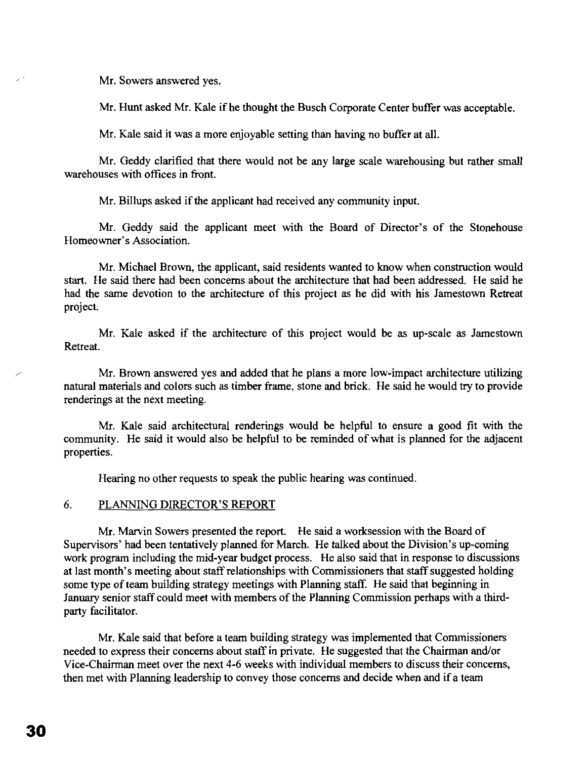Mr. Sowers answered yes.

Mr. Hunt asked Mr. Kale if he thought the Busch Corporate Center buffer was acceptable.

Mr. Kale said it was a more enjoyable setting than having no buffer at all.

Mr. Geddy clarified that there would not be any large scale warehousing but rather small warehouses with offices in front.

Mr. Billups asked if the applicant had received any community input.

Mr. Geddy said the applicant meet with the Board of Director's of the Stonehouse Homeowner's Association.

Mr. Michael Brown, the applicant, said residents wanted to know when construction would start. He said there had been concerns about the architecture that had been addressed. He said he had the same devotion to the architecture of this project as he did with his Jamestown Retreat project.

Mr. Kale asked if the architecture of this project would be as up-scale as Jamestown Retreat.

Mr. Brown answered yes and added that he plans a more low-impact architecture utilizing natural materials and colors such as timber frame, stone and brick. He said he would try to provide renderings at the next meeting.

Mr. Kale said architectural renderings would be helpful to ensure a good fit with the community. He said it would also be helpful to be reminded of what is planned for the adjacent properties.

Hearing no other requests to speak the public hearing was continued.

### 6. PLANNING DIRECTOR'S REPORT

Mr. Marvin Sowers presented the report. He said a worksession with the Board of Supervisors' had been tentatively planned for March. He talked about the Division's up-coming work program including the mid-year budget process. He also said that in response to discussions at last month's meeting about staff relationships with Commissioners that staff suggested holding some type of team building strategy meetings with Planning staff. He said that beginning in January senior staff could meet with members of the Planning Commission perhaps with a thirdparty facilitator.

Mr. Kale said that before a team building strategy was implemented that Commissioners needed to express their concerns about staff in private. He suggested that the Chairman and/or Vice-Chairman meet over the next 4-6 weeks with individual members to discuss their concerns, then met with Planning leadership to convey those concerns and decide when and if a team